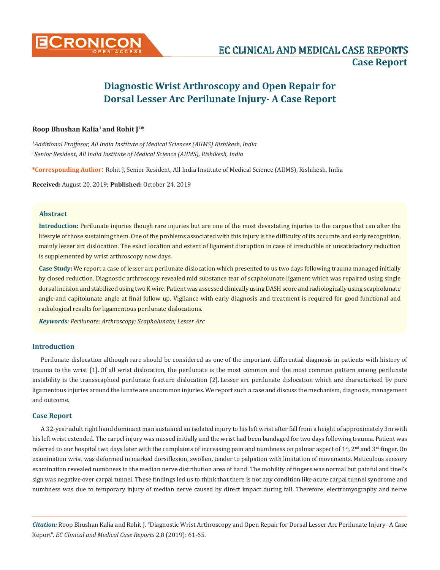

# **Roop Bhushan Kalia1 and Rohit J2\***

*1 Additional Proffesor, All India Institute of Medical Sciences (AIIMS) Rishikesh, India 2 Senior Resident, All India Institute of Medical Science (AIIMS), Rishikesh, India*

**\*Corresponding Author**: Rohit J, Senior Resident, All India Institute of Medical Science (AIIMS), Rishikesh, India

**Received:** August 20, 2019; **Published:** October 24, 2019

## **Abstract**

**Introduction:** Perilunate injuries though rare injuries but are one of the most devastating injuries to the carpus that can alter the lifestyle of those sustaining them. One of the problems associated with this injury is the difficulty of its accurate and early recognition, mainly lesser arc dislocation. The exact location and extent of ligament disruption in case of irreducible or unsatisfactory reduction is supplemented by wrist arthroscopy now days.

**Case Study:** We report a case of lesser arc perilunate dislocation which presented to us two days following trauma managed initially by closed reduction. Diagnostic arthroscopy revealed mid substance tear of scapholunate ligament which was repaired using single dorsal incision and stabilized using two K wire. Patient was assessed clinically using DASH score and radiologically using scapholunate angle and capitolunate angle at final follow up. Vigilance with early diagnosis and treatment is required for good functional and radiological results for ligamentous perilunate dislocations.

*Keywords: Perilunate; Arthroscopy; Scapholunate; Lesser Arc*

## **Introduction**

Perilunate dislocation although rare should be considered as one of the important differential diagnosis in patients with history of trauma to the wrist [1]. Of all wrist dislocation, the perilunate is the most common and the most common pattern among perilunate instability is the transscaphoid perilunate fracture dislocation [2]. Lesser arc perilunate dislocation which are characterized by pure ligamentous injuries around the lunate are uncommon injuries. We report such a case and discuss the mechanism, diagnosis, management and outcome.

## **Case Report**

A 32-year adult right hand dominant man sustained an isolated injury to his left wrist after fall from a height of approximately 3m with his left wrist extended. The carpel injury was missed initially and the wrist had been bandaged for two days following trauma. Patient was referred to our hospital two days later with the complaints of increasing pain and numbness on palmar aspect of 1<sup>st</sup>, 2<sup>nd</sup> and 3<sup>rd</sup> finger. On examination wrist was deformed in marked dorsiflexion, swollen, tender to palpation with limitation of movements. Meticulous sensory examination revealed numbness in the median nerve distribution area of hand. The mobility of fingers was normal but painful and tinel's sign was negative over carpal tunnel. These findings led us to think that there is not any condition like acute carpal tunnel syndrome and numbness was due to temporary injury of median nerve caused by direct impact during fall. Therefore, electromyography and nerve

*Citation:* Roop Bhushan Kalia and Rohit J. "Diagnostic Wrist Arthroscopy and Open Repair for Dorsal Lesser Arc Perilunate Injury- A Case Report". *EC Clinical and Medical Case Reports* 2.8 (2019): 61-65.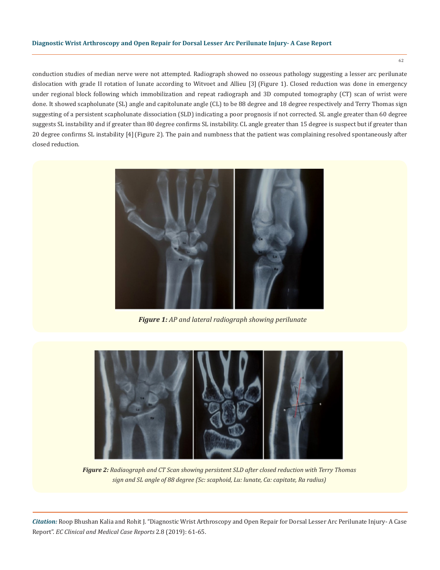conduction studies of median nerve were not attempted. Radiograph showed no osseous pathology suggesting a lesser arc perilunate dislocation with grade II rotation of lunate according to Witvoet and Allieu [3] (Figure 1). Closed reduction was done in emergency under regional block following which immobilization and repeat radiograph and 3D computed tomography (CT) scan of wrist were done. It showed scapholunate (SL) angle and capitolunate angle (CL) to be 88 degree and 18 degree respectively and Terry Thomas sign suggesting of a persistent scapholunate dissociation (SLD) indicating a poor prognosis if not corrected. SL angle greater than 60 degree suggests SL instability and if greater than 80 degree confirms SL instability. CL angle greater than 15 degree is suspect but if greater than 20 degree confirms SL instability [4](Figure 2). The pain and numbness that the patient was complaining resolved spontaneously after closed reduction.



*Figure 1: AP and lateral radiograph showing perilunate* 



*Figure 2: Radiaograph and CT Scan showing persistent SLD after closed reduction with Terry Thomas sign and SL angle of 88 degree (Sc: scaphoid, Lu: lunate, Ca: capitate, Ra radius)*

*Citation:* Roop Bhushan Kalia and Rohit J. "Diagnostic Wrist Arthroscopy and Open Repair for Dorsal Lesser Arc Perilunate Injury- A Case Report". *EC Clinical and Medical Case Reports* 2.8 (2019): 61-65.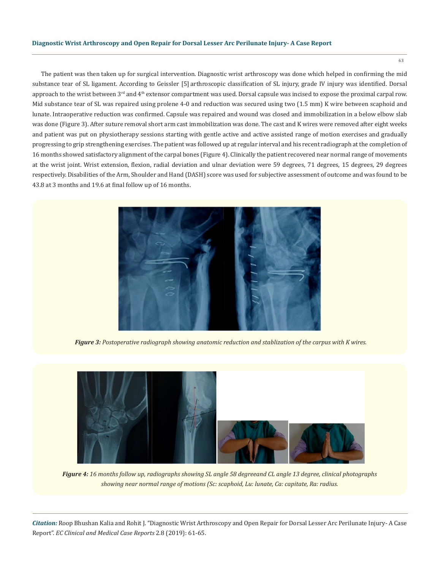The patient was then taken up for surgical intervention. Diagnostic wrist arthroscopy was done which helped in confirming the mid substance tear of SL ligament. According to Geissler [5] arthroscopic classification of SL injury, grade IV injury was identified. Dorsal approach to the wrist between  $3<sup>rd</sup>$  and  $4<sup>th</sup>$  extensor compartment was used. Dorsal capsule was incised to expose the proximal carpal row. Mid substance tear of SL was repaired using prolene 4-0 and reduction was secured using two (1.5 mm) K wire between scaphoid and lunate. Intraoperative reduction was confirmed. Capsule was repaired and wound was closed and immobilization in a below elbow slab was done (Figure 3). After suture removal short arm cast immobilization was done. The cast and K wires were removed after eight weeks and patient was put on physiotherapy sessions starting with gentle active and active assisted range of motion exercises and gradually progressing to grip strengthening exercises. The patient was followed up at regular interval and his recent radiograph at the completion of 16 months showed satisfactory alignment of the carpal bones (Figure 4). Clinically the patient recovered near normal range of movements at the wrist joint. Wrist extension, flexion, radial deviation and ulnar deviation were 59 degrees, 71 degrees, 15 degrees, 29 degrees respectively. Disabilities of the Arm, Shoulder and Hand (DASH) score was used for subjective assessment of outcome and was found to be 43.8 at 3 months and 19.6 at final follow up of 16 months.



*Figure 3: Postoperative radiograph showing anatomic reduction and stablization of the carpus with K wires.*



*Figure 4: 16 months follow up, radiographs showing SL angle 58 degreeand CL angle 13 degree, clinical photographs showing near normal range of motions (Sc: scaphoid, Lu: lunate, Ca: capitate, Ra: radius.*

*Citation:* Roop Bhushan Kalia and Rohit J. "Diagnostic Wrist Arthroscopy and Open Repair for Dorsal Lesser Arc Perilunate Injury- A Case Report". *EC Clinical and Medical Case Reports* 2.8 (2019): 61-65.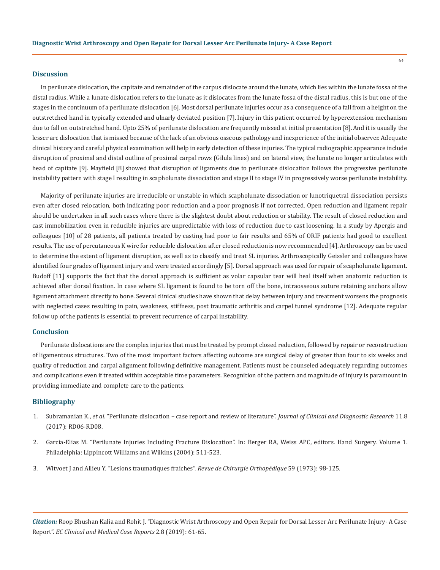#### **Discussion**

In perilunate dislocation, the capitate and remainder of the carpus dislocate around the lunate, which lies within the lunate fossa of the distal radius. While a lunate dislocation refers to the lunate as it dislocates from the lunate fossa of the distal radius, this is but one of the stages in the continuum of a perilunate dislocation [6].Most dorsal perilunate injuries occur as a consequence of a fall from a height on the outstretched hand in typically extended and ulnarly deviated position [7].Injury in this patient occurred by hyperextension mechanism due to fall on outstretched hand. Upto 25% of perilunate dislocation are frequently missed at initial presentation [8].And it is usually the lesser arc dislocation that is missed because of the lack of an obvious osseous pathology and inexperience of the initial observer. Adequate clinical history and careful physical examination will help in early detection of these injuries. The typical radiographic appearance include disruption of proximal and distal outline of proximal carpal rows (Gilula lines) and on lateral view, the lunate no longer articulates with head of capitate [9]. Mayfield [8] showed that disruption of ligaments due to perilunate dislocation follows the progressive perilunate instability pattern with stage I resulting in scapholunate dissociation and stage II to stage IV in progressively worse perilunate instability.

Majority of perilunate injuries are irreducible or unstable in which scapholunate dissociation or lunotriquetral dissociation persists even after closed relocation, both indicating poor reduction and a poor prognosis if not corrected. Open reduction and ligament repair should be undertaken in all such cases where there is the slightest doubt about reduction or stability. The result of closed reduction and cast immobilization even in reducible injuries are unpredictable with loss of reduction due to cast loosening. In a study by Apergis and colleagues [10] of 28 patients, all patients treated by casting had poor to fair results and 65% of ORIF patients had good to excellent results. The use of percutaneous K wire for reducible dislocation after closed reduction is now recommended [4]. Arthroscopy can be used to determine the extent of ligament disruption, as well as to classify and treat SL injuries. Arthroscopically Geissler and colleagues have identified four grades of ligament injury and were treated accordingly [5]. Dorsal approach was used for repair of scapholunate ligament. Budoff [11] supports the fact that the dorsal approach is sufficient as volar capsular tear will heal itself when anatomic reduction is achieved after dorsal fixation. In case where SL ligament is found to be torn off the bone, intraosseous suture retaining anchors allow ligament attachment directly to bone. Several clinical studies have shown that delay between injury and treatment worsens the prognosis with neglected cases resulting in pain, weakness, stiffness, post traumatic arthritis and carpel tunnel syndrome [12]. Adequate regular follow up of the patients is essential to prevent recurrence of carpal instability.

#### **Conclusion**

Perilunate dislocations are the complex injuries that must be treated by prompt closed reduction, followed by repair or reconstruction of ligamentous structures. Two of the most important factors affecting outcome are surgical delay of greater than four to six weeks and quality of reduction and carpal alignment following definitive management. Patients must be counseled adequately regarding outcomes and complications even if treated within acceptable time parameters. Recognition of the pattern and magnitude of injury is paramount in providing immediate and complete care to the patients.

## **Bibliography**

- 1. Subramanian K., *et al.* ["Perilunate dislocation case report and review of literature".](https://www.ncbi.nlm.nih.gov/pmc/articles/PMC5620867/) *Journal of Clinical and Diagnostic Research* 11.8 [\(2017\): RD06-RD08.](https://www.ncbi.nlm.nih.gov/pmc/articles/PMC5620867/)
- 2. Garcia-Elias M. "Perilunate Injuries Including Fracture Dislocation". In: Berger RA, Weiss APC, editors. Hand Surgery. Volume 1. Philadelphia: Lippincott Williams and Wilkins (2004): 511-523.
- 3. Witvoet J and Allieu Y. "Lesions traumatiques fraiches". *Revue de Chirurgie Orthopédique* 59 (1973): 98-125.

*Citation:* Roop Bhushan Kalia and Rohit J. "Diagnostic Wrist Arthroscopy and Open Repair for Dorsal Lesser Arc Perilunate Injury- A Case Report". *EC Clinical and Medical Case Reports* 2.8 (2019): 61-65.